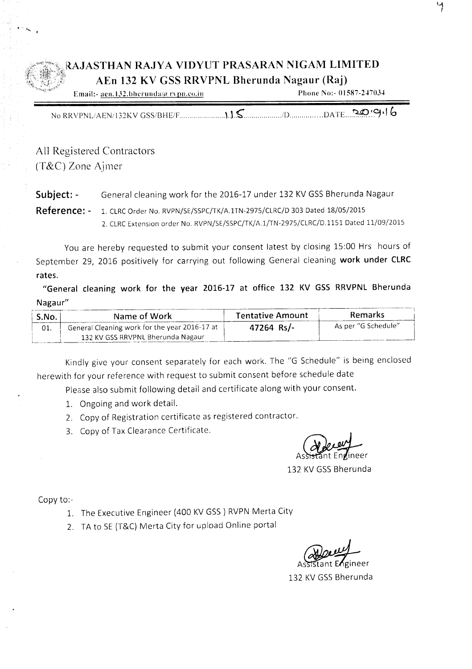## RAJASTHAN RAJYA VIDYUT PRASARAN NIGAM LIMITED AEn 132 KV GSS RRVPNL Bherunda Nagaur (Raj)

| Email:- aen.132.bherunda/a rypn.co.in | Phone No:- 01587-247034 |
|---------------------------------------|-------------------------|
|                                       |                         |
|                                       |                         |
|                                       |                         |

No RRVPNLlAENil32KV GSS/BHE/F" U.~ ./[) DATE.. ..~.~'1,' b

All Registered Contractors (T&C) Zone Ajmer

Subject: - General cleaning work for the 2016-17 under 132 KV GSS Bherunda Nagaur

Reference: - 1. CLRCOrder No. RVPN/SE/SSPC/TK/A.lTN-2975/CLRC/D <sup>303</sup> Dated 18/05/2015 2. CLRCExtension order No. RVPN/SE/SSPC/TK/A.1/TN-2975/CLRC/D.1151 Dated 11/09/2015

You are hereby requested to submit your consent latest by closing 15:00 Hrs hours of September 29, 2016 positively for carrying out following General cleaning work under CLRC rates.

"General cleaning work for the year 2016-17 at office 132 KV GSS RRVPNL Bherunda Nagaur"

| S.No. | Name of Work                                  | <b>Tentative Amount</b> | Remarks             |
|-------|-----------------------------------------------|-------------------------|---------------------|
| 01.   | General Cleaning work for the year 2016-17 at | 47264 Rs/-              | As per "G Schedule" |
|       | 132 KV GSS RRVPNL Bherunda Nagaur             |                         |                     |

Kindly give your consent separately for each work. The "G Schedule" is being enclosed herewith for your reference with request to submit consent before schedule date

Please also submit following detail and certificate along with your consent.

- 1. Ongoing and work detail.
- 2. Copy of Registration certificate as registered contractor.
- 3. Copy of Tax Clearance Certificate.

132 KV GSS Bherunda

Copy to:-

- 1. The Executive Engineer (400 KV GSS) RVPN Merta City
- 2. TA to SE (T&C) Merta City for upload Online portal

Anderen

132 KV GSS Bherunda